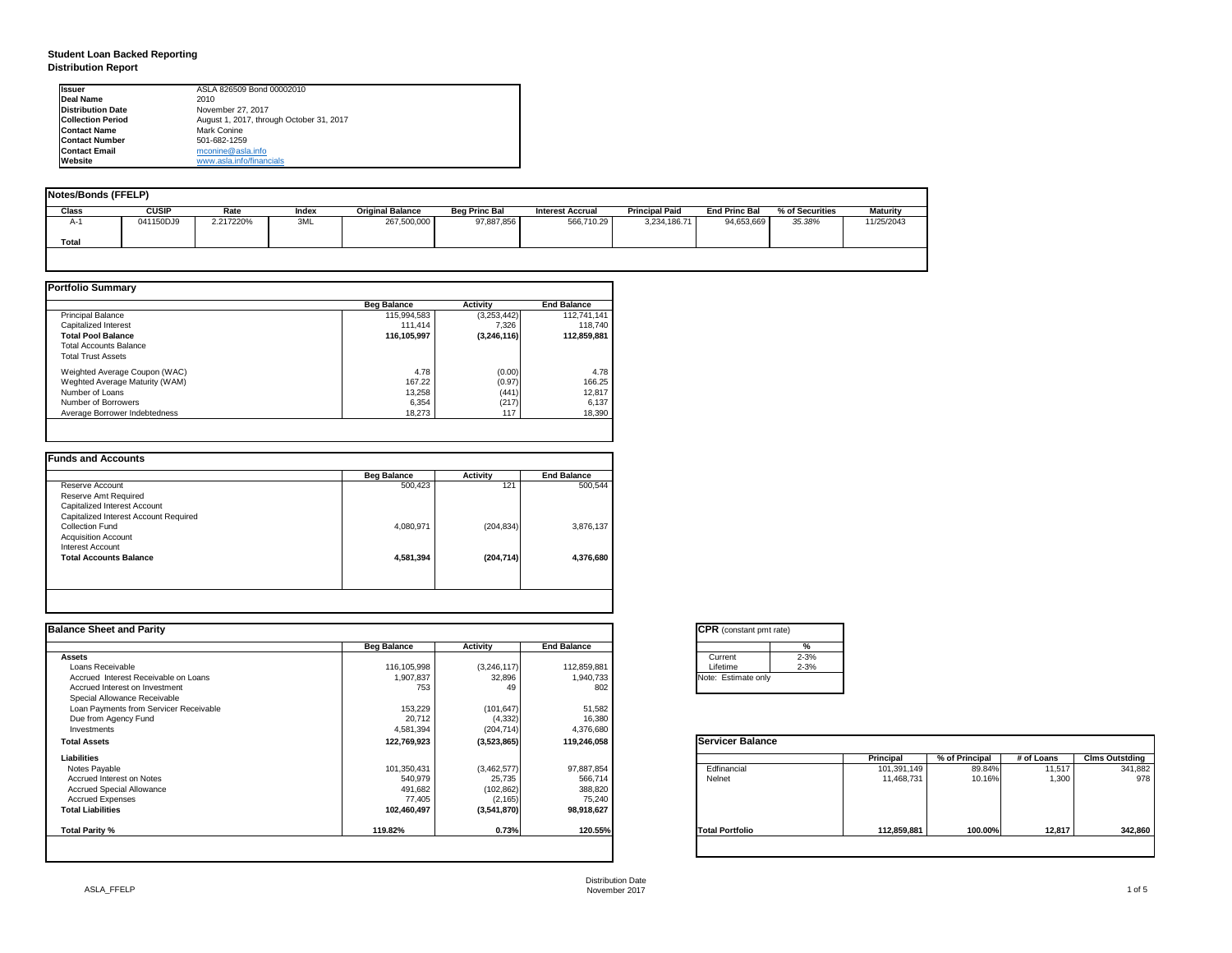| tant pmt rate) |          |  |  |  |  |  |
|----------------|----------|--|--|--|--|--|
|                | %        |  |  |  |  |  |
|                | $2 - 3%$ |  |  |  |  |  |
|                | $2 - 3%$ |  |  |  |  |  |
| ate only       |          |  |  |  |  |  |
|                |          |  |  |  |  |  |

|     | <b>Principal</b> | % of Principal | # of Loans | <b>Clms Outstding</b> |
|-----|------------------|----------------|------------|-----------------------|
|     | 101,391,149      | 89.84%         | 11,517     | 341,882               |
|     | 11,468,731       | 10.16%         | 1,300      | 978                   |
|     |                  |                |            |                       |
| lio | 112,859,881      | 100.00%        | 12,817     | 342,860               |

## **Student Loan Backed Reporting Distribution Report**

| <b>Notes/Bonds (FFELP)</b> |              |           |              |                         |                      |                         |                       |                      |                 |                 |
|----------------------------|--------------|-----------|--------------|-------------------------|----------------------|-------------------------|-----------------------|----------------------|-----------------|-----------------|
| <b>Class</b>               | <b>CUSIP</b> | Rate      | <b>Index</b> | <b>Original Balance</b> | <b>Beg Princ Bal</b> | <b>Interest Accrual</b> | <b>Principal Paid</b> | <b>End Princ Bal</b> | % of Securities | <b>Maturity</b> |
| A-1                        | 041150DJ9    | 2.217220% | 3ML          | 267,500,000             | 97,887,856           | 566,710.29              | 3,234,186.71          | 94,653,669           | 35.38%          | 11/25/2043      |
| <b>Total</b>               |              |           |              |                         |                      |                         |                       |                      |                 |                 |
|                            |              |           |              |                         |                      |                         |                       |                      |                 |                 |

|                                | <b>Beg Balance</b> | <b>Activity</b> | <b>End Balance</b> |
|--------------------------------|--------------------|-----------------|--------------------|
| <b>Principal Balance</b>       | 115,994,583        | (3,253,442)     | 112,741,141        |
| Capitalized Interest           | 111,414            | 7,326           | 118,740            |
| <b>Total Pool Balance</b>      | 116,105,997        | (3,246,116)     | 112,859,881        |
| <b>Total Accounts Balance</b>  |                    |                 |                    |
| <b>Total Trust Assets</b>      |                    |                 |                    |
| Weighted Average Coupon (WAC)  | 4.78               | (0.00)          | 4.78               |
| Weghted Average Maturity (WAM) | 167.22             | (0.97)          | 166.25             |
| Number of Loans                | 13,258             | (441)           | 12,817             |
| Number of Borrowers            | 6,354              | (217)           | 6,137              |
| Average Borrower Indebtedness  | 18,273             | 117             | 18,390             |

|                                       | <b>Beg Balance</b> | <b>Activity</b> | <b>End Balance</b> |
|---------------------------------------|--------------------|-----------------|--------------------|
| Reserve Account                       | 500,423            | 121             | 500,544            |
| Reserve Amt Required                  |                    |                 |                    |
| <b>Capitalized Interest Account</b>   |                    |                 |                    |
| Capitalized Interest Account Required |                    |                 |                    |
| <b>Collection Fund</b>                | 4,080,971          | (204, 834)      | 3,876,137          |
| <b>Acquisition Account</b>            |                    |                 |                    |
| Interest Account                      |                    |                 |                    |
| <b>Total Accounts Balance</b>         | 4,581,394          | (204, 714)      | 4,376,680          |
|                                       |                    |                 |                    |
|                                       |                    |                 |                    |

| Ilssuer                  | ASLA 826509 Bond 00002010                |
|--------------------------|------------------------------------------|
| <b>IDeal Name</b>        | 2010                                     |
| <b>Distribution Date</b> | November 27, 2017                        |
| <b>Collection Period</b> | August 1, 2017, through October 31, 2017 |
| <b>IContact Name</b>     | Mark Conine                              |
| <b>IContact Number</b>   | 501-682-1259                             |
| <b>Contact Email</b>     | mconine@asla.info                        |
| <b>IWebsite</b>          | www.asla.info/financials                 |

|                    |                                                                  |                                                                           | <b>CPR</b> (constant pmt rate)                                 |                                               |                                               |                                    |                                |
|--------------------|------------------------------------------------------------------|---------------------------------------------------------------------------|----------------------------------------------------------------|-----------------------------------------------|-----------------------------------------------|------------------------------------|--------------------------------|
| <b>Beg Balance</b> | <b>Activity</b>                                                  | <b>End Balance</b>                                                        | %                                                              |                                               |                                               |                                    |                                |
|                    |                                                                  |                                                                           | $2 - 3%$<br>Current                                            |                                               |                                               |                                    |                                |
| 116,105,998        | (3,246,117)                                                      | 112,859,881                                                               | $2 - 3%$<br>Lifetime                                           |                                               |                                               |                                    |                                |
| 1,907,837          | 32,896                                                           | 1,940,733                                                                 |                                                                |                                               |                                               |                                    |                                |
| 753                | 49                                                               | 802                                                                       |                                                                |                                               |                                               |                                    |                                |
|                    |                                                                  |                                                                           |                                                                |                                               |                                               |                                    |                                |
|                    |                                                                  |                                                                           |                                                                |                                               |                                               |                                    |                                |
|                    |                                                                  |                                                                           |                                                                |                                               |                                               |                                    |                                |
| 4,581,394          | (204, 714)                                                       | 4,376,680                                                                 |                                                                |                                               |                                               |                                    |                                |
| 122,769,923        | (3,523,865)                                                      | 119,246,058                                                               | <b>Servicer Balance</b>                                        |                                               |                                               |                                    |                                |
|                    |                                                                  |                                                                           |                                                                |                                               |                                               |                                    | <b>Clms Outstding</b>          |
|                    |                                                                  |                                                                           |                                                                |                                               |                                               |                                    | 341,882                        |
|                    |                                                                  |                                                                           | Nelnet                                                         |                                               |                                               | 1,300                              | 978                            |
|                    |                                                                  |                                                                           |                                                                |                                               |                                               |                                    |                                |
|                    |                                                                  |                                                                           |                                                                |                                               |                                               |                                    |                                |
| 102,460,497        | (3,541,870)                                                      | 98,918,627                                                                |                                                                |                                               |                                               |                                    |                                |
| 119.82%            | 0.73%                                                            |                                                                           | <b>Total Portfolio</b>                                         | 112,859,881                                   | 100.00%                                       |                                    | 342,860                        |
|                    | 153,229<br>20,712<br>101,350,431<br>540,979<br>491,682<br>77,405 | (101, 647)<br>(4, 332)<br>(3,462,577)<br>25,735<br>(102, 862)<br>(2, 165) | 51,582<br>16,380<br>97,887,854<br>566,714<br>388,820<br>75,240 | Note: Estimate only<br>Edfinancial<br>120.55% | <b>Principal</b><br>101,391,149<br>11,468,731 | % of Principal<br>89.84%<br>10.16% | # of Loans<br>11,517<br>12,817 |

| CPR (con:   |          |
|-------------|----------|
|             |          |
|             | Current  |
|             | Lifetime |
| Note: Estir |          |
|             |          |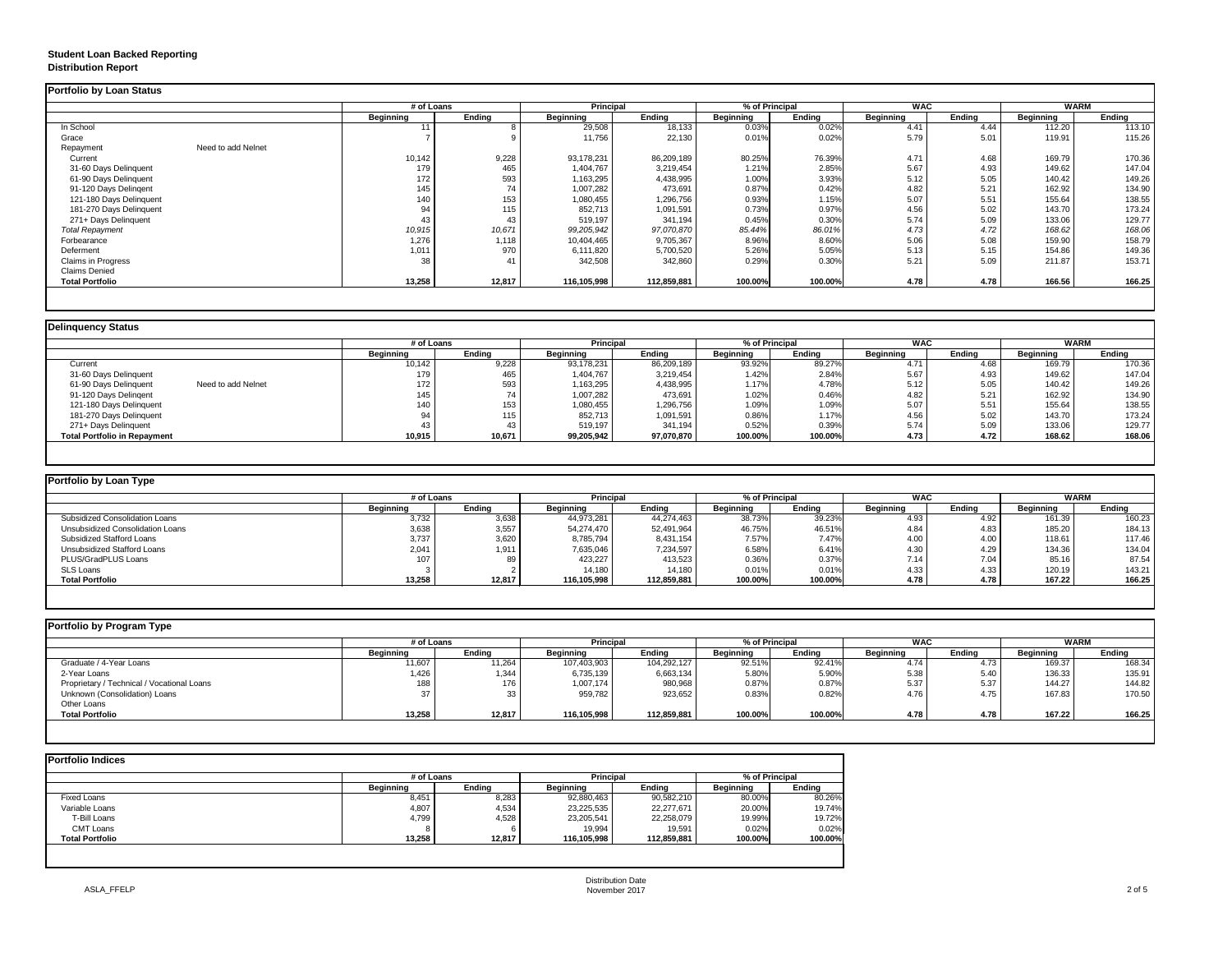### **Student Loan Backed Reporting Distribution Report**

### **Delinquency Status**

|                                 | # of Loans       |                  | <b>Principal</b> |               | % of Principal   |               | <b>WAC</b>       |               | <b>WARM</b>      |               |
|---------------------------------|------------------|------------------|------------------|---------------|------------------|---------------|------------------|---------------|------------------|---------------|
|                                 | <b>Beginning</b> | <b>Ending</b>    | <b>Beginning</b> | <b>Ending</b> | <b>Beginning</b> | <b>Ending</b> | <b>Beginning</b> | <b>Ending</b> | <b>Beginning</b> | <b>Ending</b> |
| In School                       | 11               |                  | 29,508           | 18,133        | 0.03%            | 0.02%         | 4.41             | 4.44          | 112.20           | 113.10        |
| Grace                           |                  |                  | 11,756           | 22,130        | 0.01%            | 0.02%         | 5.79             | 5.01          | 119.91           | 115.26        |
| Need to add Nelnet<br>Repayment |                  |                  |                  |               |                  |               |                  |               |                  |               |
| Current                         | 10,142           | 9,228            | 93,178,231       | 86,209,189    | 80.25%           | 76.39%        | 4.71             | 4.68          | 169.79           | 170.36        |
| 31-60 Days Delinquent           | 179              | 465              | 1,404,767        | 3,219,454     | 1.21%            | 2.85%         | 5.67             | 4.93          | 149.62           | 147.04        |
| 61-90 Days Delinquent           | 172              | 593              | 1,163,295        | 4,438,995     | 1.00%            | 3.93%         | 5.12             | 5.05          | 140.42           | 149.26        |
| 91-120 Days Delingent           | 145              | 74               | 1,007,282        | 473,691       | 0.87%            | 0.42%         | 4.82             | 5.21          | 162.92           | 134.90        |
| 121-180 Days Delinquent         | 140              | 153              | 1,080,455        | 1,296,756     | 0.93%            | 1.15%         | 5.07             | 5.51          | 155.64           | 138.55        |
| 181-270 Days Delinquent         | 94               | 115 <sub>1</sub> | 852,713          | 1,091,591     | 0.73%            | 0.97%         | 4.56             | 5.02          | 143.70           | 173.24        |
| 271+ Days Delinquent            | 43               | 43               | 519,197          | 341,194       | 0.45%            | 0.30%         | 5.74             | 5.09          | 133.06           | 129.77        |
| <b>Total Repayment</b>          | 10,915           | 10,671           | 99,205,942       | 97,070,870    | 85.44%           | 86.01%        | 4.73             | 4.72          | 168.62           | 168.06        |
| Forbearance                     | 1,276            | 1,118            | 10,404,465       | 9,705,367     | 8.96%            | 8.60%         | 5.06             | 5.08          | 159.90           | 158.79        |
| Deferment                       | 1,011            | 970              | 6,111,820        | 5,700,520     | 5.26%            | 5.05%         | 5.13             | 5.15          | 154.86           | 149.36        |
| Claims in Progress              | 38               | 41               | 342,508          | 342,860       | 0.29%            | 0.30%         | 5.21             | 5.09          | 211.87           | 153.71        |
| <b>Claims Denied</b>            |                  |                  |                  |               |                  |               |                  |               |                  |               |
| <b>Total Portfolio</b>          | 13,258           | 12,817           | 116,105,998      | 112,859,881   | 100.00%          | 100.00%       | 4.78             | 4.78          | 166.56           | 166.25        |

|                                             |                  | # of Loans    |                  | <b>Principal</b> | % of Principal   |               | <b>WAC</b>       |               | <b>WARM</b>      |               |
|---------------------------------------------|------------------|---------------|------------------|------------------|------------------|---------------|------------------|---------------|------------------|---------------|
|                                             | <b>Beginning</b> | <b>Ending</b> | <b>Beginning</b> | <b>Ending</b>    | <b>Beginning</b> | <b>Ending</b> | <b>Beginning</b> | <b>Ending</b> | <b>Beginning</b> | <b>Ending</b> |
| Current                                     | 10,142           | 9,228         | 93,178,231       | 86,209,189       | 93.92%           | 89.27%        | 4.71             | 4.68          | 169.79           | 170.36        |
| 31-60 Days Delinquent                       | 179              | 465           | 1,404,767        | 3,219,454        | 1.42%            | 2.84%         | 5.67             | 4.93          | 149.62           | 147.04        |
| 61-90 Days Delinquent<br>Need to add Nelnet | 172              | 593           | 1,163,295        | 4,438,995        | 1.17%            | 4.78%         | 5.12             | 5.05          | 140.42           | 149.26        |
| 91-120 Days Delingent                       | 145              |               | 1,007,282        | 473,691          | 1.02%            | 0.46%         | 4.82             | 5.21          | 162.92           | 134.90        |
| 121-180 Days Delinquent                     | 140              | 153           | 1,080,455        | 1,296,756        | 1.09%            | 1.09%         | 5.07             | 5.51          | 155.64           | 138.55        |
| 181-270 Days Delinquent                     |                  | 115           | 852,713          | 1,091,591        | 0.86%            | 1.17%         | 4.56             | 5.02          | 143.70           | 173.24        |
| 271+ Days Delinquent                        | 43               |               | 519,197          | 341,194          | 0.52%            | 0.39%         | 5.74             | 5.09          | 133.06           | 129.77        |
| <b>Total Portfolio in Repayment</b>         | 10,915           | 10,671        | 99,205,942       | 97,070,870       | 100.00%          | 100.00%       | 4.73             | 4.72          | 168.62           | 168.06        |

| Portfolio by Loan Type                  |                  |               |                  |               |                  |               |                  |        |                  |        |
|-----------------------------------------|------------------|---------------|------------------|---------------|------------------|---------------|------------------|--------|------------------|--------|
|                                         | # of Loans       |               | <b>Principal</b> |               | % of Principal   |               | <b>WAC</b>       |        | <b>WARM</b>      |        |
|                                         | <b>Beginning</b> | <b>Ending</b> | <b>Beginning</b> | <b>Ending</b> | <b>Beginning</b> | <b>Ending</b> | <b>Beginning</b> | Ending | <b>Beginning</b> | Ending |
| <b>Subsidized Consolidation Loans</b>   | 3,732            | 3,638         | 44,973,281       | 44,274,463    | 38.73%           | 39.23%        | 4.93             | 4.92   | 161.39           | 160.23 |
| <b>Unsubsidized Consolidation Loans</b> | 3,638            | 3,557         | 54,274,470       | 52,491,964    | 46.75%           | 46.51%        | 4.84             | 4.83   | 185.20           | 184.13 |
| <b>Subsidized Stafford Loans</b>        | 3,737            | 3,620         | 8,785,794        | 8,431,154     | 7.57%            | 7.47%         | 4.00             | 4.00   | 118.61           | 117.46 |
| <b>Unsubsidized Stafford Loans</b>      | 2,041            | 1,911         | 7,635,046        | 7,234,597     | 6.58%            | 6.41%         | 4.30             | 4.29   | 134.36           | 134.04 |
| PLUS/GradPLUS Loans                     | 107              | 89            | 423,227          | 413,523       | 0.36%            | 0.37%         | 7.14             | 7.04   | 85.16            | 87.54  |
| <b>SLS Loans</b>                        |                  |               | 14,180           | 14,180        | 0.01%            | 0.01%         | 4.33             | 4.33   | 120.19           | 143.21 |
| <b>Total Portfolio</b>                  | 13,258           | 12,817        | 116,105,998      | 112,859,881   | 100.00%          | 100.00%       | 4.78             | 4.78   | 167.22           | 166.25 |

# **Portfolio by Program Type** Graduate / 4-Year Loans 11,607 11,264 107,403,903 104,292,127 92.51% 92.41% 4.74 4.73 169.37 168.34 2-Year Loans 1,426 | 1,344 | 6,633,133 | 5.80% | 5.38 | 5.40 | 136.33 | 135.91 Proprietary / Technical / Vocational Loans 176 | 1,007,174 | 980,968 | 0.87% | 5.37 | 144.27 | 144.27 | 144.82 Unknown (Consolidation) Loans 33 | 959,782 | 0.83% | 4.76 | 4.75 | 167.83 | 170.50 Other Loans<br>Total Portfolio **Total Portfolio 13,258 12,817 116,105,998 112,859,881 100.00% 100.00% 4.78 4.78 167.22 166.25**

| # of Loans       |               | <b>Principal</b> |               | % of Principal   |               | <b>WAC</b>       |               | <b>WARM</b>      |        |
|------------------|---------------|------------------|---------------|------------------|---------------|------------------|---------------|------------------|--------|
| <b>Beginning</b> | <b>Ending</b> | <b>Beginning</b> | <b>Ending</b> | <b>Beginning</b> | <b>Ending</b> | <b>Beginning</b> | <b>Ending</b> | <b>Beginning</b> | Ending |
| 11,607           | 1,264         | 107,403,903      | 104,292,127   | 92.51%           | 92.41%        | 4.74             | 4.73          | 169.37           | 168.34 |
| ,426             | 1,344         | 6,735,139        | 6,663,134     | 5.80%            | 5.90%         | 5.38             | 5.40          | 136.33           | 135.91 |
| 188              | 176           | 1,007,174        | 980,968       | 0.87%            | 0.87%         | 5.37             | 5.37          | 144.27           | 144.82 |
| 37               | 33            | 959,782          | 923,652       | 0.83%            | 0.82%         | 4.76             | 4.75          | 167.83           | 170.50 |
| 13,258           | 12,817        | 116,105,998      | 112,859,881   | 100.00%          | 100.00%       | 4.78             | 4.78          | 167.22           | 166.25 |

|                        |                  | # of Loans    |                  | <b>Principal</b> |                  | % of Principal |  |
|------------------------|------------------|---------------|------------------|------------------|------------------|----------------|--|
|                        | <b>Beginning</b> | <b>Ending</b> | <b>Beginning</b> | <b>Ending</b>    | <b>Beginning</b> | <b>Ending</b>  |  |
| <b>Fixed Loans</b>     | 8,451            | 8,283         | 92,880,463       | 90,582,210       | 80.00%           | 80.26%         |  |
| Variable Loans         | 4,807            | 4,534         | 23,225,535       | 22,277,671       | 20.00%           | 19.74%         |  |
| T-Bill Loans           | 4,799            | 4,528         | 23,205,541       | 22,258,079       | 19.99%           | 19.72%         |  |
| <b>CMT Loans</b>       |                  | 6             | 19,994           | 19,591           | 0.02%            | 0.02%          |  |
| <b>Total Portfolio</b> | 13,258           | 12,817        | 116,105,998      | 112,859,881      | 100.00%          | 100.00%        |  |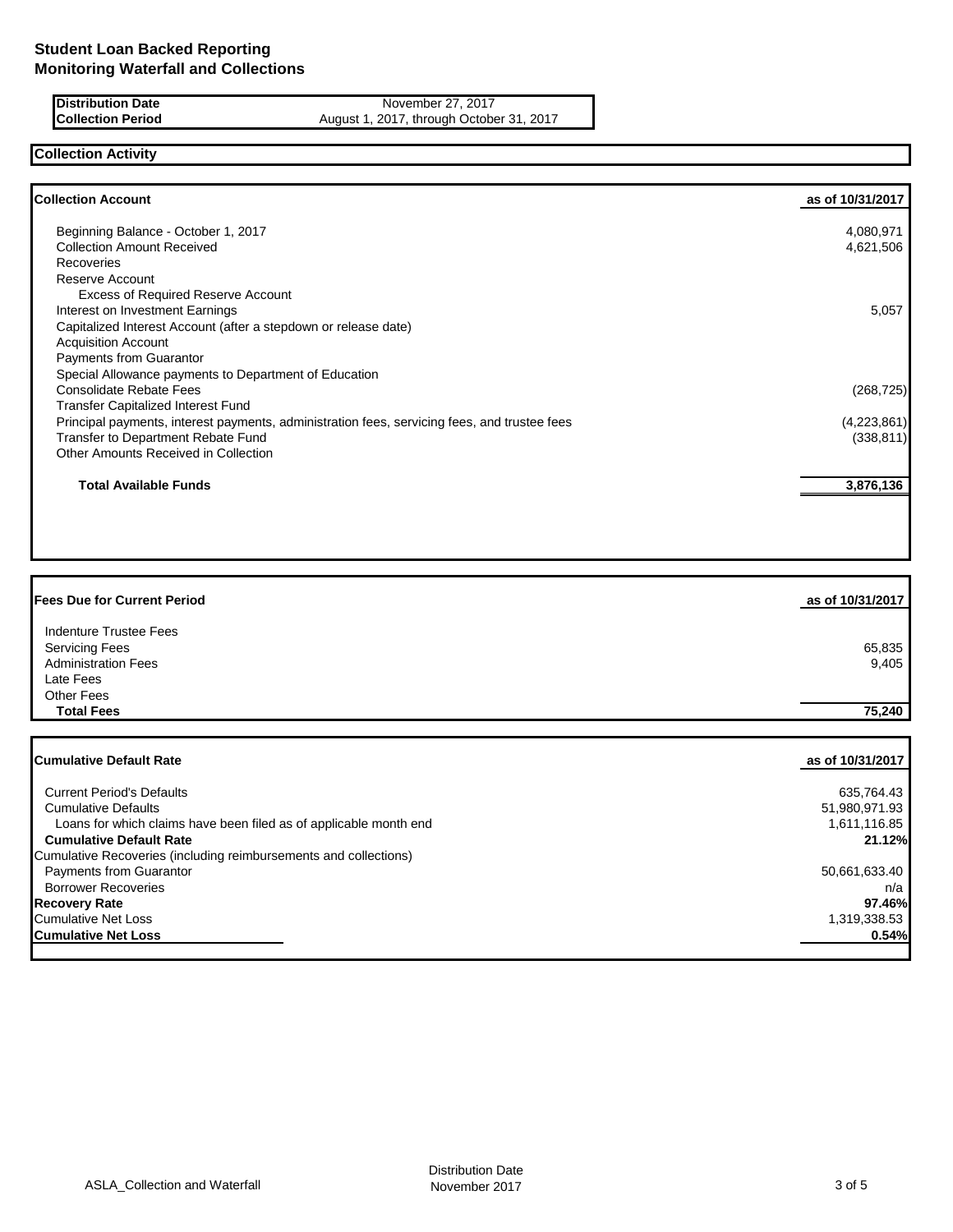**Distribution Date** November 27, 2017<br>**Collection Period** August 1, 2017, through Octobe August 1, 2017, through October 31, 2017

## **Collection Activity**

| <b>Collection Account</b>                                                                    | as of 10/31/2017 |
|----------------------------------------------------------------------------------------------|------------------|
| Beginning Balance - October 1, 2017                                                          | 4,080,971        |
| <b>Collection Amount Received</b>                                                            | 4,621,506        |
| Recoveries                                                                                   |                  |
| Reserve Account                                                                              |                  |
| <b>Excess of Required Reserve Account</b>                                                    |                  |
| Interest on Investment Earnings                                                              | 5,057            |
| Capitalized Interest Account (after a stepdown or release date)                              |                  |
| <b>Acquisition Account</b>                                                                   |                  |
| <b>Payments from Guarantor</b>                                                               |                  |
| Special Allowance payments to Department of Education                                        |                  |
| <b>Consolidate Rebate Fees</b>                                                               | (268, 725)       |
| <b>Transfer Capitalized Interest Fund</b>                                                    |                  |
| Principal payments, interest payments, administration fees, servicing fees, and trustee fees | (4,223,861)      |
| Transfer to Department Rebate Fund                                                           | (338, 811)       |
| Other Amounts Received in Collection                                                         |                  |
| <b>Total Available Funds</b>                                                                 | 3,876,136        |
|                                                                                              |                  |

| <b>Fees Due for Current Period</b> | as of 10/31/2017 |
|------------------------------------|------------------|
| <b>Indenture Trustee Fees</b>      |                  |
| <b>Servicing Fees</b>              | 65,835           |
| <b>Administration Fees</b>         | 9,405            |
| Late Fees                          |                  |
| Other Fees                         |                  |
| <b>Total Fees</b>                  | 75,240           |
|                                    |                  |
| <b>Cumulative Default Rate</b>     | as of 10/31/2017 |

| <b>Current Period's Defaults</b>                                  | 635,764.43    |
|-------------------------------------------------------------------|---------------|
| <b>Cumulative Defaults</b>                                        | 51,980,971.93 |
| Loans for which claims have been filed as of applicable month end | 1,611,116.85  |
| <b>Cumulative Default Rate</b>                                    | 21.12%        |
| Cumulative Recoveries (including reimbursements and collections)  |               |
| <b>Payments from Guarantor</b>                                    | 50,661,633.40 |
| <b>Borrower Recoveries</b>                                        | n/a           |
| <b>Recovery Rate</b>                                              | 97.46%        |
| <b>Cumulative Net Loss</b>                                        | 1,319,338.53  |
| <b>Cumulative Net Loss</b>                                        | 0.54%         |
|                                                                   |               |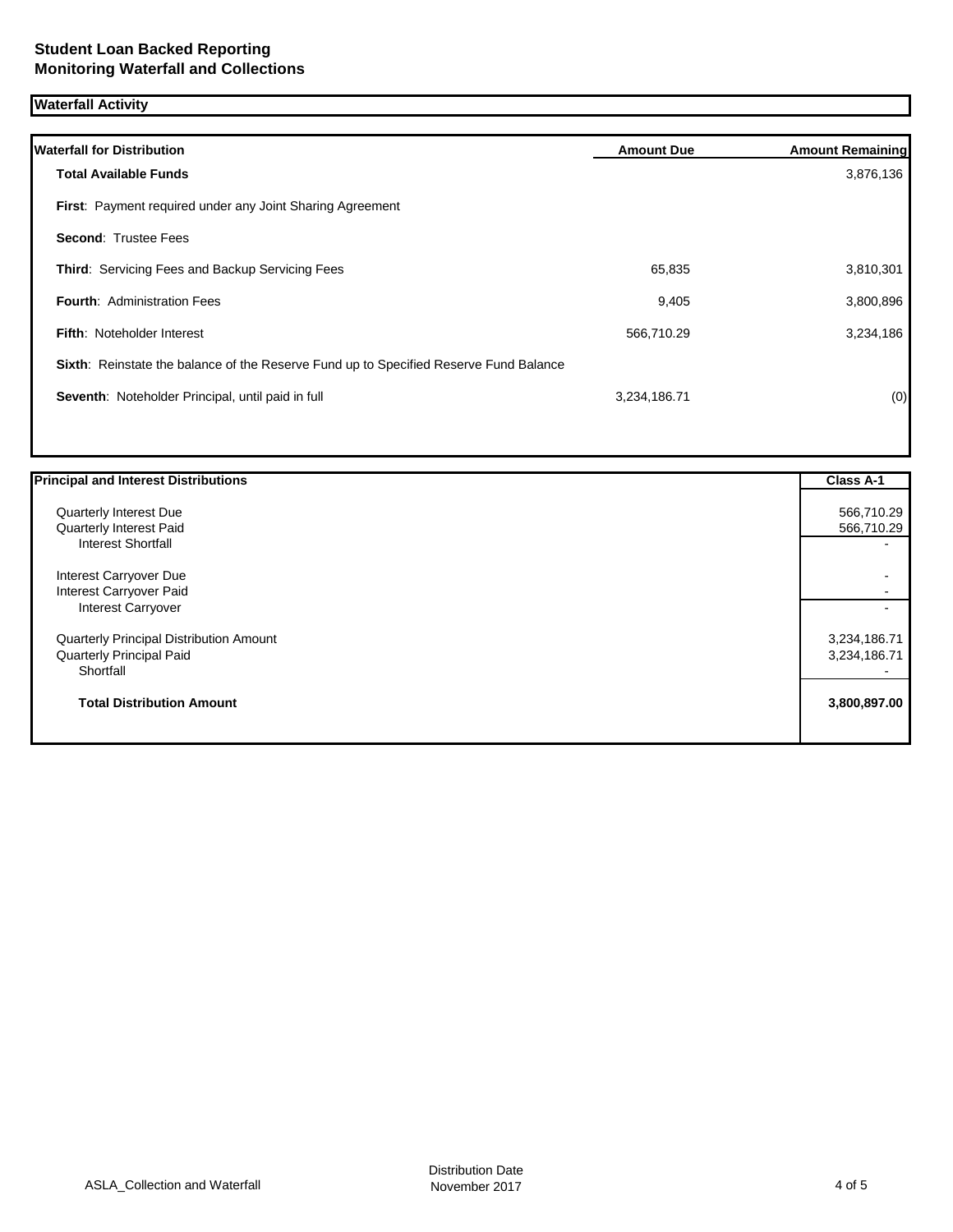## **Waterfall Activity**

| <b>Waterfall for Distribution</b>                                                     | <b>Amount Due</b> | <b>Amount Remaining</b> |
|---------------------------------------------------------------------------------------|-------------------|-------------------------|
| <b>Total Available Funds</b>                                                          |                   | 3,876,136               |
| First: Payment required under any Joint Sharing Agreement                             |                   |                         |
| <b>Second: Trustee Fees</b>                                                           |                   |                         |
| Third: Servicing Fees and Backup Servicing Fees                                       | 65,835            | 3,810,301               |
| <b>Fourth: Administration Fees</b>                                                    | 9,405             | 3,800,896               |
| Fifth: Noteholder Interest                                                            | 566,710.29        | 3,234,186               |
| Sixth: Reinstate the balance of the Reserve Fund up to Specified Reserve Fund Balance |                   |                         |
| Seventh: Noteholder Principal, until paid in full                                     | 3,234,186.71      | (0)                     |
|                                                                                       |                   |                         |

| Quarterly Interest Due                         | 566,710.29   |
|------------------------------------------------|--------------|
|                                                |              |
| Quarterly Interest Paid                        | 566,710.29   |
| <b>Interest Shortfall</b>                      |              |
| Interest Carryover Due                         |              |
| Interest Carryover Paid                        |              |
| <b>Interest Carryover</b>                      |              |
| <b>Quarterly Principal Distribution Amount</b> | 3,234,186.71 |
| <b>Quarterly Principal Paid</b>                | 3,234,186.71 |
| Shortfall                                      |              |
| <b>Total Distribution Amount</b>               | 3,800,897.00 |
|                                                |              |